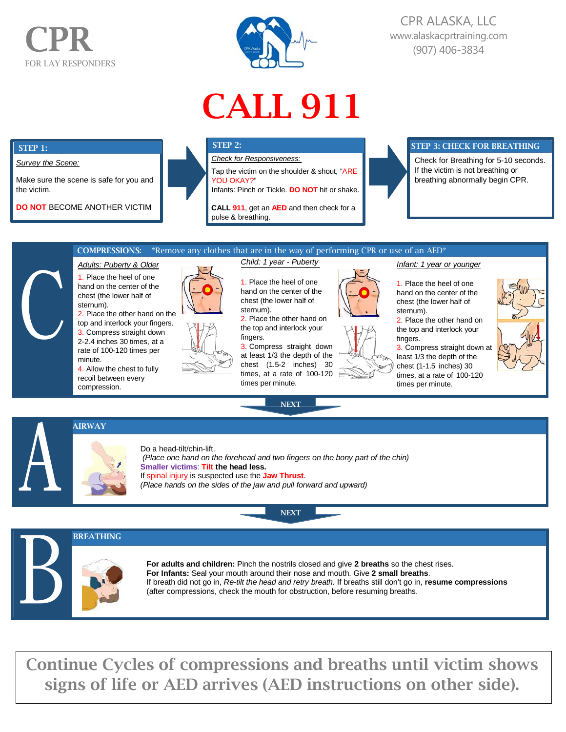# CPR FOR LAY RESPONDERS



# CPR ALASKA, LLC [www.alaskacprtraining.com](http://www.alaskacprtraining.com/) (907) 406-3834

# CALL 911

#### C **COMPRESSIONS:** \*Remove any clothes that are in the way of performing CPR or use of an AED\* *Adults: Puberty & Older* 1. Place the heel of one hand on the center of the *Child: 1 year - Puberty* 1. Place the heel of one *Infant: 1 year or younger* 1. Place the heel of one hand on the center of the STEP 3: CHECK FOR BREATHING Check for Breathing for 5-10 seconds. If the victim is not breathing or breathing abnormally begin CPR. STEP 2: *Check for Responsiveness:* Tap the victim on the shoulder & shout, "ARE YOU OKAY?" Infants: Pinch or Tickle. **DO NOT** hit or shake. **CALL 911**, get an **AED** and then check for a pulse & breathing. STEP 1: *Survey the Scene:* Make sure the scene is safe for you and the victim. **DO NOT** BECOME ANOTHER VICTIM

chest (the lower half of sternum).

2. Place the other hand on the top and interlock your fingers. 3. Compress straight down 2-2.4 inches 30 times, at a rate of 100-120 times per minute.

4. Allow the chest to fully recoil between every compression.



hand on the center of the chest (the lower half of sternum).

2. Place the other hand on the top and interlock your fingers.

3. Compress straight down at least 1/3 the depth of the chest (1.5-2 inches) 30 times, at a rate of 100-120 times per minute.

**NEXT** 

**NEXT** 



fingers.

sternum). 2. Place the other hand on the top and interlock your 3. Compress straight down at least 1/3 the depth of the chest (1-1.5 inches) 30 times, at a rate of 100-120 times per minute.

chest (the lower half of



AIRWAY



Do a head-tilt/chin-lift. *(Place one hand on the forehead and two fingers on the bony part of the chin)* **Smaller victims**: **Tilt the head less.** If spinal injury is suspected use the **Jaw Thrust**. *(Place hands on the sides of the jaw and pull forward and upward)*



A

**For adults and children:** Pinch the nostrils closed and give **2 breaths** so the chest rises. **For Infants:** Seal your mouth around their nose and mouth. Give **2 small breaths**. If breath did not go in, *Re-tilt the head and retry breath.* If breaths still don't go in, **resume compressions** (after compressions, check the mouth for obstruction, before resuming breaths.

Continue Cycles of compressions and breaths until victim shows signs of life or AED arrives (AED instructions on other side).